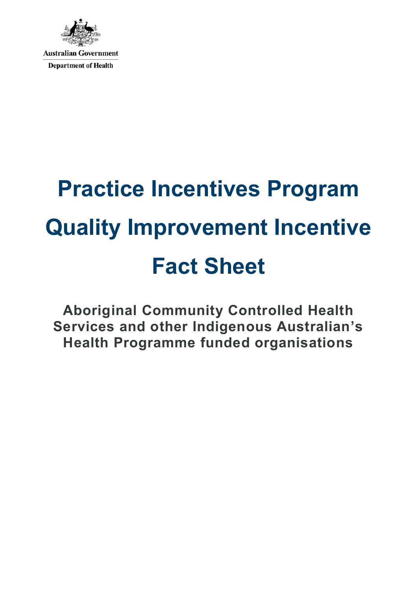

# **Practice Incentives Program Quality Improvement Incentive Fact Sheet**

**Aboriginal Community Controlled Health Services and other Indigenous Australian's Health Programme funded organisations**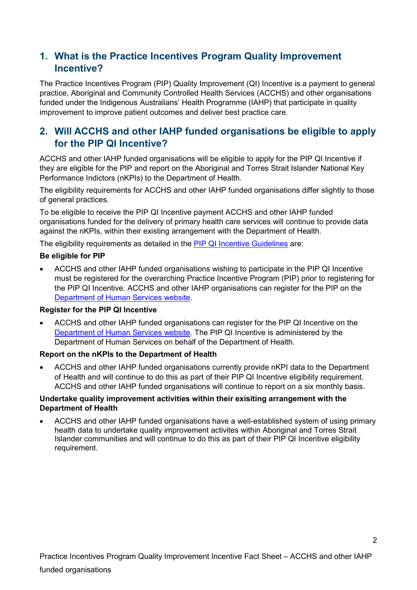## **1. What is the Practice Incentives Program Quality Improvement Incentive?**

The Practice Incentives Program (PIP) Quality Improvement (QI) Incentive is a payment to general practice, Aboriginal and Community Controlled Health Services (ACCHS) and other organisations funded under the Indigenous Australians' Health Programme (IAHP) that participate in quality improvement to improve patient outcomes and deliver best practice care.

## **2. Will ACCHS and other IAHP funded organisations be eligible to apply for the PIP QI Incentive?**

ACCHS and other IAHP funded organisations will be eligible to apply for the PIP QI Incentive if they are eligible for the PIP and report on the Aboriginal and Torres Strait Islander National Key Performance Indictors (nKPIs) to the Department of Health.

The eligibility requirements for ACCHS and other IAHP funded organisations differ slightly to those of general practices.

To be eligible to receive the PIP QI Incentive payment ACCHS and other IAHP funded organisations funded for the delivery of primary health care services will continue to provide data against the nKPIs, within their existing arrangement with the Department of Health.

The eligibility requirements as detailed in the [PIP QI Incentive Guidelines](https://www1.health.gov.au/internet/main/publishing.nsf/Content/PIP-QI_Incentive_guidance) are:

#### **Be eligible for PIP**

• ACCHS and other IAHP funded organisations wishing to participate in the PIP QI Incentive must be registered for the overarching Practice Incentive Program (PIP) prior to registering for the PIP QI Incentive. ACCHS and other IAHP organisations can register for the PIP on the [Department of Human Services website.](https://www.humanservices.gov.au/organisations/health-professionals/services/medicare/practice-incentives-program-guidelines/applying)

#### **Register for the PIP QI Incentive**

• ACCHS and other IAHP funded organisations can register for the PIP QI Incentive on the [Department of Human Services website.](https://www.humanservices.gov.au/organisations/health-professionals/services/medicare/practice-incentives-program/guidelines/quality-improvement-incentive) The PIP QI Incentive is administered by the Department of Human Services on behalf of the Department of Health.

#### **Report on the nKPIs to the Department of Health**

• ACCHS and other IAHP funded organisations currently provide nKPI data to the Department of Health and will continue to do this as part of their PIP QI Incentive eligibility requirement. ACCHS and other IAHP funded organisations will continue to report on a six monthly basis.

#### **Undertake quality improvement activities within their exisiting arrangement with the Department of Health**

• ACCHS and other IAHP funded organisations have a well-established system of using primary health data to undertake quality improvement activites within Aboriginal and Torres Strait Islander communities and will continue to do this as part of their PIP QI Incentive eligibility requirement.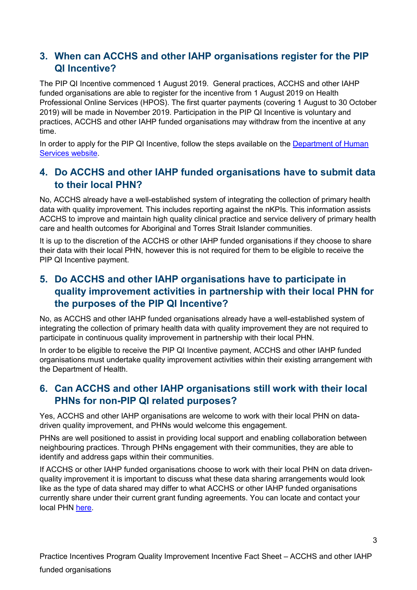## **3. When can ACCHS and other IAHP organisations register for the PIP QI Incentive?**

The PIP QI Incentive commenced 1 August 2019. General practices, ACCHS and other IAHP funded organisations are able to register for the incentive from 1 August 2019 on Health Professional Online Services (HPOS). The first quarter payments (covering 1 August to 30 October 2019) will be made in November 2019. Participation in the PIP QI Incentive is voluntary and practices, ACCHS and other IAHP funded organisations may withdraw from the incentive at any time.

In order to apply for the PIP QI Incentive, follow the steps available on the [Department of Human](https://www.humanservices.gov.au/organisations/health-professionals/services/medicare/practice-incentives-program/guidelines/quality-improvement-incentive)  [Services website.](https://www.humanservices.gov.au/organisations/health-professionals/services/medicare/practice-incentives-program/guidelines/quality-improvement-incentive)

#### **4. Do ACCHS and other IAHP funded organisations have to submit data to their local PHN?**

No, ACCHS already have a well-established system of integrating the collection of primary health data with quality improvement. This includes reporting against the nKPIs. This information assists ACCHS to improve and maintain high quality clinical practice and service delivery of primary health care and health outcomes for Aboriginal and Torres Strait Islander communities.

It is up to the discretion of the ACCHS or other IAHP funded organisations if they choose to share their data with their local PHN, however this is not required for them to be eligible to receive the PIP QI Incentive payment.

## **5. Do ACCHS and other IAHP organisations have to participate in quality improvement activities in partnership with their local PHN for the purposes of the PIP QI Incentive?**

No, as ACCHS and other IAHP funded organisations already have a well-established system of integrating the collection of primary health data with quality improvement they are not required to participate in continuous quality improvement in partnership with their local PHN.

In order to be eligible to receive the PIP QI Incentive payment, ACCHS and other IAHP funded organisations must undertake quality improvement activities within their existing arrangement with the Department of Health.

## **6. Can ACCHS and other IAHP organisations still work with their local PHNs for non-PIP QI related purposes?**

Yes, ACCHS and other IAHP organisations are welcome to work with their local PHN on datadriven quality improvement, and PHNs would welcome this engagement.

PHNs are well positioned to assist in providing local support and enabling collaboration between neighbouring practices. Through PHNs engagement with their communities, they are able to identify and address gaps within their communities.

If ACCHS or other IAHP funded organisations choose to work with their local PHN on data drivenquality improvement it is important to discuss what these data sharing arrangements would look like as the type of data shared may differ to what ACCHS or other IAHP funded organisations currently share under their current grant funding agreements. You can locate and contact your local PHN [here.](https://www1.health.gov.au/internet/main/publishing.nsf/Content/PHN-Locator)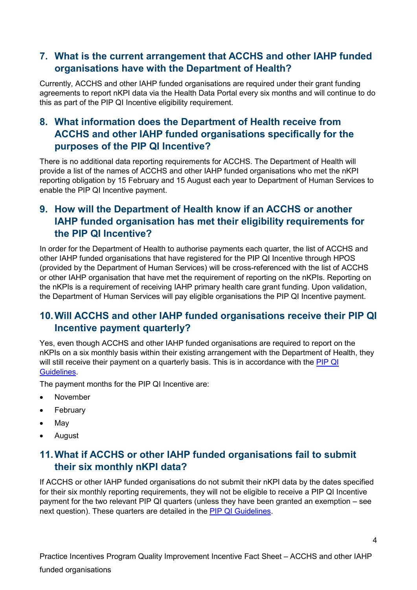## **7. What is the current arrangement that ACCHS and other IAHP funded organisations have with the Department of Health?**

Currently, ACCHS and other IAHP funded organisations are required under their grant funding agreements to report nKPI data via the Health Data Portal every six months and will continue to do this as part of the PIP QI Incentive eligibility requirement.

# **8. What information does the Department of Health receive from ACCHS and other IAHP funded organisations specifically for the purposes of the PIP QI Incentive?**

There is no additional data reporting requirements for ACCHS. The Department of Health will provide a list of the names of ACCHS and other IAHP funded organisations who met the nKPI reporting obligation by 15 February and 15 August each year to Department of Human Services to enable the PIP QI Incentive payment.

## **9. How will the Department of Health know if an ACCHS or another IAHP funded organisation has met their eligibility requirements for the PIP QI Incentive?**

In order for the Department of Health to authorise payments each quarter, the list of ACCHS and other IAHP funded organisations that have registered for the PIP QI Incentive through HPOS (provided by the Department of Human Services) will be cross-referenced with the list of ACCHS or other IAHP organisation that have met the requirement of reporting on the nKPIs. Reporting on the nKPIs is a requirement of receiving IAHP primary health care grant funding. Upon validation, the Department of Human Services will pay eligible organisations the PIP QI Incentive payment.

## **10.Will ACCHS and other IAHP funded organisations receive their PIP QI Incentive payment quarterly?**

Yes, even though ACCHS and other IAHP funded organisations are required to report on the nKPIs on a six monthly basis within their existing arrangement with the Department of Health, they will still receive their payment on a quarterly basis. This is in accordance with the **PIP QI** [Guidelines.](https://www1.health.gov.au/internet/main/publishing.nsf/Content/PIP-QI_Incentive_guidance)

The payment months for the PIP QI Incentive are:

- November
- February
- May
- August

#### **11.What if ACCHS or other IAHP funded organisations fail to submit their six monthly nKPI data?**

If ACCHS or other IAHP funded organisations do not submit their nKPI data by the dates specified for their six monthly reporting requirements, they will not be eligible to receive a PIP QI Incentive payment for the two relevant PIP QI quarters (unless they have been granted an exemption – see next question). These quarters are detailed in the [PIP QI Guidelines.](https://www1.health.gov.au/internet/main/publishing.nsf/Content/PIP-QI_Incentive_guidance)

Practice Incentives Program Quality Improvement Incentive Fact Sheet – ACCHS and other IAHP funded organisations